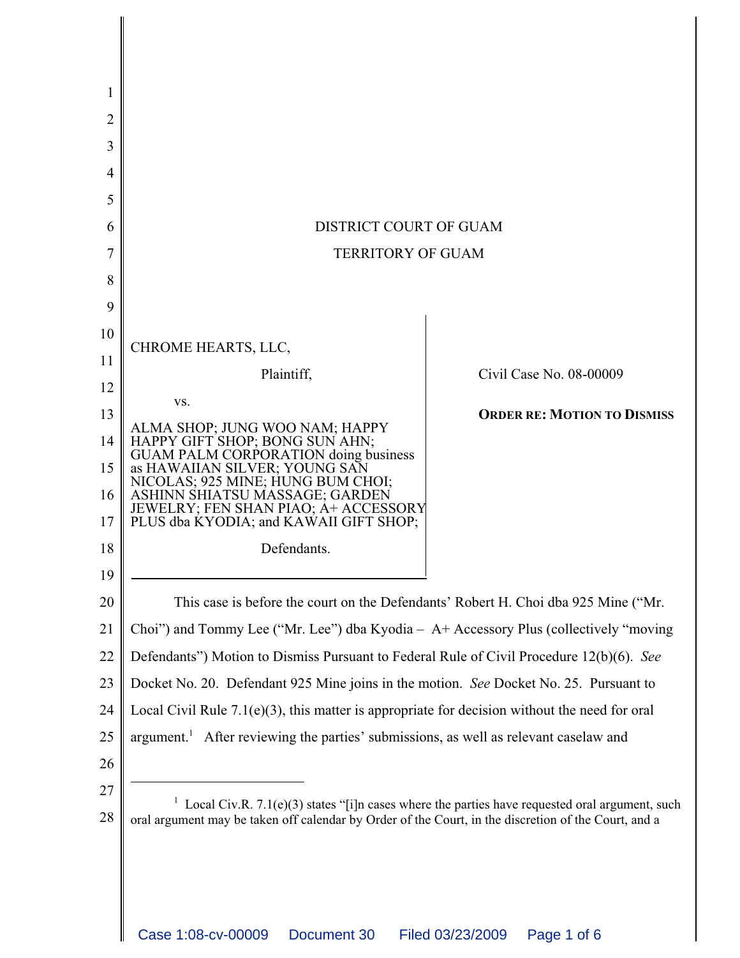| 1  |                                                                                                                                                                                                        |                                    |
|----|--------------------------------------------------------------------------------------------------------------------------------------------------------------------------------------------------------|------------------------------------|
| 2  |                                                                                                                                                                                                        |                                    |
| 3  |                                                                                                                                                                                                        |                                    |
| 4  |                                                                                                                                                                                                        |                                    |
| 5  |                                                                                                                                                                                                        |                                    |
| 6  | DISTRICT COURT OF GUAM                                                                                                                                                                                 |                                    |
| 7  | <b>TERRITORY OF GUAM</b>                                                                                                                                                                               |                                    |
| 8  |                                                                                                                                                                                                        |                                    |
| 9  |                                                                                                                                                                                                        |                                    |
| 10 |                                                                                                                                                                                                        |                                    |
| 11 | CHROME HEARTS, LLC,                                                                                                                                                                                    |                                    |
| 12 | Plaintiff,                                                                                                                                                                                             | Civil Case No. 08-00009            |
| 13 | VS.                                                                                                                                                                                                    | <b>ORDER RE: MOTION TO DISMISS</b> |
| 14 | ALMA SHOP; JUNG WOO NAM; HAPPY                                                                                                                                                                         |                                    |
| 15 | HAPPY GIFT SHOP; BONG SUN AHN;<br>GUAM PALM CORPORATION doing business<br>as HAWAIIAN SILVER; YOUNG SAN                                                                                                |                                    |
| 16 | NICOLAS; 925 MINE; HUNG BUM CHOI;<br>ASHINN SHIATSU MASSAGE; GARDEN                                                                                                                                    |                                    |
| 17 | JEWELRY; FEN SHAN PIAO; A+ ACCESSORY<br>PLUS dba KYODIA; and KAWAII GIFT SHOP;                                                                                                                         |                                    |
| 18 | Defendants.                                                                                                                                                                                            |                                    |
| 19 |                                                                                                                                                                                                        |                                    |
| 20 | This case is before the court on the Defendants' Robert H. Choi dba 925 Mine ("Mr.                                                                                                                     |                                    |
| 21 | Choi") and Tommy Lee ("Mr. Lee") dba Kyodia - A+ Accessory Plus (collectively "moving                                                                                                                  |                                    |
| 22 | Defendants") Motion to Dismiss Pursuant to Federal Rule of Civil Procedure 12(b)(6). See                                                                                                               |                                    |
| 23 | Docket No. 20. Defendant 925 Mine joins in the motion. See Docket No. 25. Pursuant to                                                                                                                  |                                    |
| 24 | Local Civil Rule $7.1(e)(3)$ , this matter is appropriate for decision without the need for oral                                                                                                       |                                    |
| 25 | argument. <sup>1</sup> After reviewing the parties' submissions, as well as relevant caselaw and                                                                                                       |                                    |
| 26 |                                                                                                                                                                                                        |                                    |
| 27 |                                                                                                                                                                                                        |                                    |
| 28 | Local Civ.R. 7.1(e)(3) states "[i]n cases where the parties have requested oral argument, such<br>oral argument may be taken off calendar by Order of the Court, in the discretion of the Court, and a |                                    |
|    |                                                                                                                                                                                                        |                                    |
|    |                                                                                                                                                                                                        |                                    |
|    |                                                                                                                                                                                                        |                                    |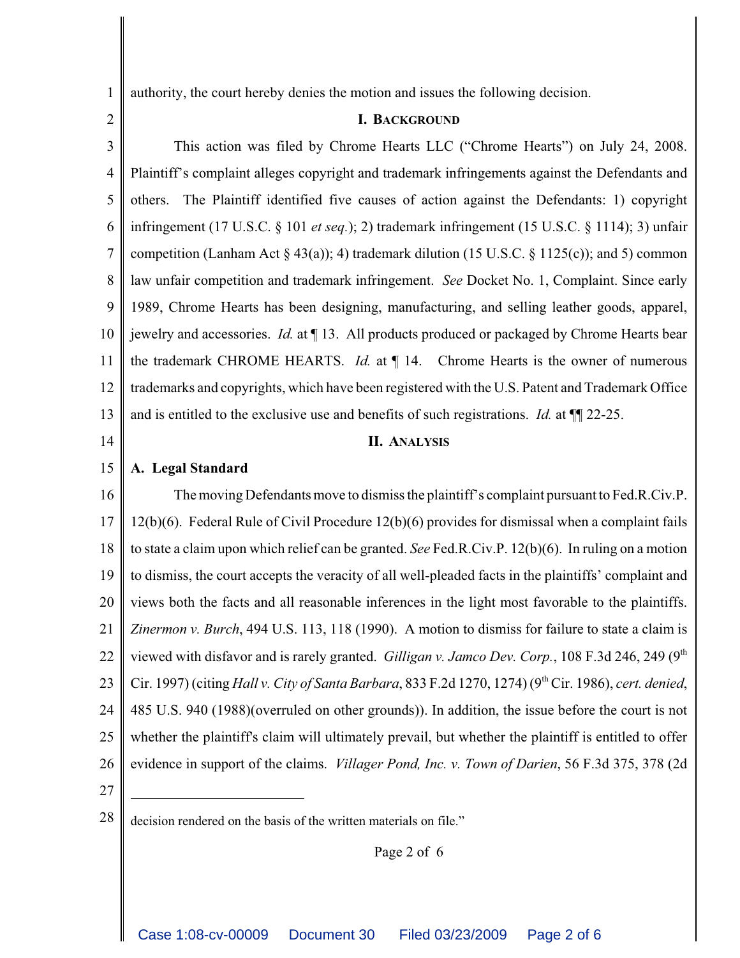1 authority, the court hereby denies the motion and issues the following decision.

2

## **I. BACKGROUND**

3 4 5 6 7 8 9 10 11 12 13 This action was filed by Chrome Hearts LLC ("Chrome Hearts") on July 24, 2008. Plaintiff's complaint alleges copyright and trademark infringements against the Defendants and others. The Plaintiff identified five causes of action against the Defendants: 1) copyright infringement (17 U.S.C. § 101 *et seq.*); 2) trademark infringement (15 U.S.C. § 1114); 3) unfair competition (Lanham Act § 43(a)); 4) trademark dilution (15 U.S.C. § 1125(c)); and 5) common law unfair competition and trademark infringement. *See* Docket No. 1, Complaint. Since early 1989, Chrome Hearts has been designing, manufacturing, and selling leather goods, apparel, jewelry and accessories. *Id.* at ¶ 13. All products produced or packaged by Chrome Hearts bear the trademark CHROME HEARTS. *Id.* at ¶ 14. Chrome Hearts is the owner of numerous trademarks and copyrights, which have been registered with the U.S. Patent and Trademark Office and is entitled to the exclusive use and benefits of such registrations. *Id.* at ¶¶ 22-25.

14

## **II. ANALYSIS**

15 **A. Legal Standard**

16 17 18 19 20 21 22 23 24 25 26 The moving Defendants move to dismiss the plaintiff's complaint pursuant to Fed.R.Civ.P. 12(b)(6). Federal Rule of Civil Procedure 12(b)(6) provides for dismissal when a complaint fails to state a claim upon which relief can be granted. *See* Fed.R.Civ.P. 12(b)(6). In ruling on a motion to dismiss, the court accepts the veracity of all well-pleaded facts in the plaintiffs' complaint and views both the facts and all reasonable inferences in the light most favorable to the plaintiffs. *Zinermon v. Burch*, 494 U.S. 113, 118 (1990). A motion to dismiss for failure to state a claim is viewed with disfavor and is rarely granted. *Gilligan v. Jamco Dev. Corp.*, 108 F.3d 246, 249 (9<sup>th</sup> Cir. 1997) (citing *Hall v. City of Santa Barbara*, 833 F.2d 1270, 1274) (9th Cir. 1986), *cert. denied*, 485 U.S. 940 (1988)(overruled on other grounds)). In addition, the issue before the court is not whether the plaintiff's claim will ultimately prevail, but whether the plaintiff is entitled to offer evidence in support of the claims. *Villager Pond, Inc. v. Town of Darien*, 56 F.3d 375, 378 (2d

27

Page 2 of 6

 $28 \parallel$  decision rendered on the basis of the written materials on file."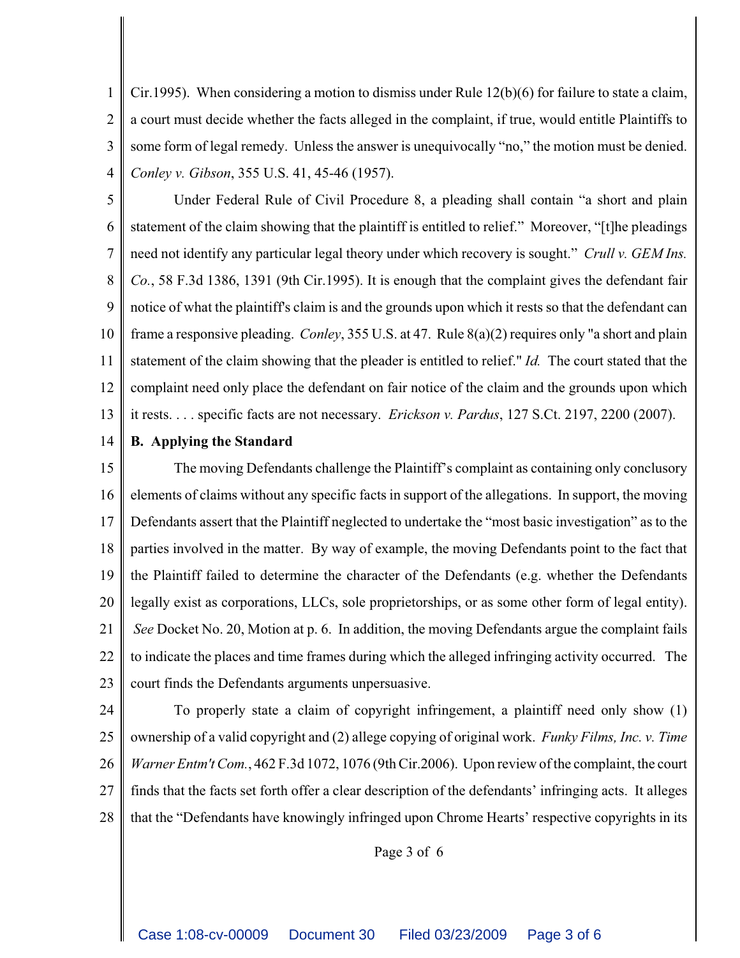1 2 3 4 Cir.1995). When considering a motion to dismiss under Rule 12(b)(6) for failure to state a claim, a court must decide whether the facts alleged in the complaint, if true, would entitle Plaintiffs to some form of legal remedy. Unless the answer is unequivocally "no," the motion must be denied. *Conley v. Gibson*, 355 U.S. 41, 45-46 (1957).

- 5 6 7 8 9 10 11 12 13 Under Federal Rule of Civil Procedure 8, a pleading shall contain "a short and plain statement of the claim showing that the plaintiff is entitled to relief." Moreover, "[t]he pleadings need not identify any particular legal theory under which recovery is sought." *Crull v. GEM Ins. Co.*, 58 F.3d 1386, 1391 (9th Cir.1995). It is enough that the complaint gives the defendant fair notice of what the plaintiff's claim is and the grounds upon which it rests so that the defendant can frame a responsive pleading. *Conley*, 355 U.S. at 47. Rule 8(a)(2) requires only "a short and plain statement of the claim showing that the pleader is entitled to relief." *Id.* The court stated that the complaint need only place the defendant on fair notice of the claim and the grounds upon which it rests. . . . specific facts are not necessary. *Erickson v. Pardus*, 127 S.Ct. 2197, 2200 (2007).
- 14 **B. Applying the Standard**

15 16 17 18 19 20 21 22 23 The moving Defendants challenge the Plaintiff's complaint as containing only conclusory elements of claims without any specific facts in support of the allegations. In support, the moving Defendants assert that the Plaintiff neglected to undertake the "most basic investigation" as to the parties involved in the matter. By way of example, the moving Defendants point to the fact that the Plaintiff failed to determine the character of the Defendants (e.g. whether the Defendants legally exist as corporations, LLCs, sole proprietorships, or as some other form of legal entity). *See* Docket No. 20, Motion at p. 6. In addition, the moving Defendants argue the complaint fails to indicate the places and time frames during which the alleged infringing activity occurred. The court finds the Defendants arguments unpersuasive.

24

25 26 27 28 To properly state a claim of copyright infringement, a plaintiff need only show (1) ownership of a valid copyright and (2) allege copying of original work. *Funky Films, Inc. v. Time Warner Entm't Com.*, 462 F.3d 1072, 1076 (9th Cir.2006). Upon review of the complaint, the court finds that the facts set forth offer a clear description of the defendants' infringing acts. It alleges that the "Defendants have knowingly infringed upon Chrome Hearts' respective copyrights in its

Page 3 of 6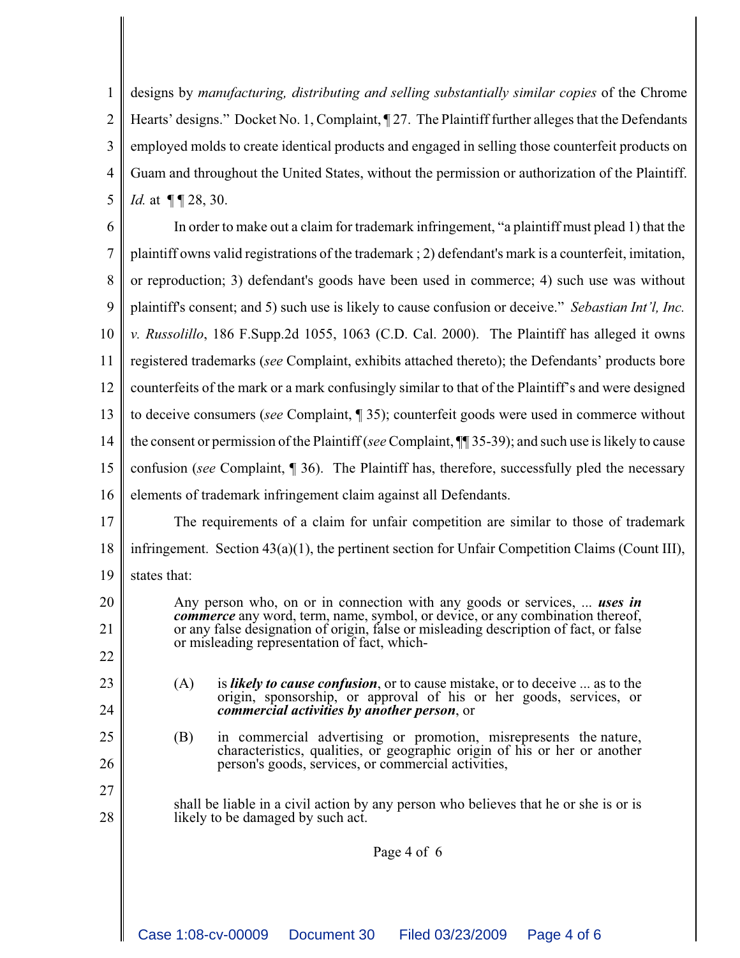1 2 3 4 5 designs by *manufacturing, distributing and selling substantially similar copies* of the Chrome Hearts' designs." Docket No. 1, Complaint,  $\sqrt{27}$ . The Plaintiff further alleges that the Defendants employed molds to create identical products and engaged in selling those counterfeit products on Guam and throughout the United States, without the permission or authorization of the Plaintiff. *Id.* at  $\P\P28$ , 30.

6 7 8 9 10 11 12 13 14 15 16 In order to make out a claim for trademark infringement, "a plaintiff must plead 1) that the plaintiff owns valid registrations of the trademark ; 2) defendant's mark is a counterfeit, imitation, or reproduction; 3) defendant's goods have been used in commerce; 4) such use was without plaintiff's consent; and 5) such use is likely to cause confusion or deceive." *Sebastian Int'l, Inc. v. Russolillo*, 186 F.Supp.2d 1055, 1063 (C.D. Cal. 2000). The Plaintiff has alleged it owns registered trademarks (*see* Complaint, exhibits attached thereto); the Defendants' products bore counterfeits of the mark or a mark confusingly similar to that of the Plaintiff's and were designed to deceive consumers (*see* Complaint, ¶ 35); counterfeit goods were used in commerce without the consent or permission of the Plaintiff (*see* Complaint, ¶¶ 35-39); and such use is likely to cause confusion (*see* Complaint, ¶ 36). The Plaintiff has, therefore, successfully pled the necessary elements of trademark infringement claim against all Defendants.

17 18 19 The requirements of a claim for unfair competition are similar to those of trademark infringement. Section 43(a)(1), the pertinent section for Unfair Competition Claims (Count III), states that:

> Any person who, on or in connection with any goods or services, ... *uses in commerce* any word, term, name, symbol, or device, or any combination thereof, or any false designation of origin, false or misleading description of fact, or false or misleading representation of fact, which-

23 24

20

21

22

25

26

27

28

(A) is *likely to cause confusion*, or to cause mistake, or to deceive ... as to the origin, sponsorship, or approval of his or her goods, services, or *commercial activities by another person*, or

(B) in commercial advertising or promotion, misrepresents the nature, characteristics, qualities, or geographic origin of his or her or another person's goods, services, or commercial activities,

shall be liable in a civil action by any person who believes that he or she is or is likely to be damaged by such act.

Page 4 of 6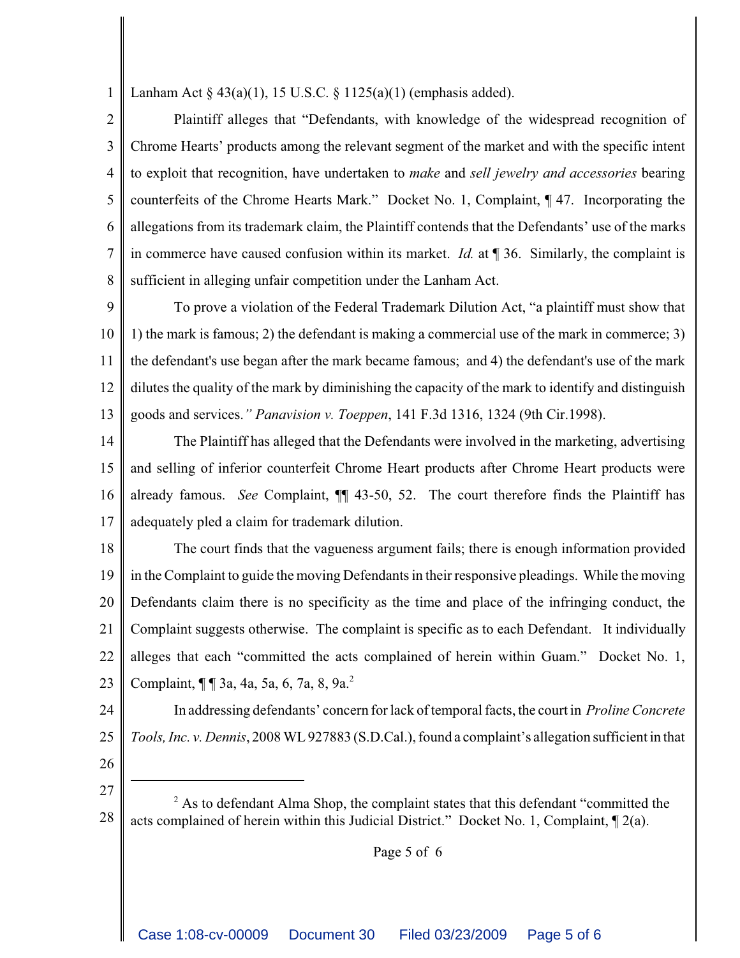1 Lanham Act  $\S$  43(a)(1), 15 U.S.C.  $\S$  1125(a)(1) (emphasis added).

2 3 4 5 6 7 8 Plaintiff alleges that "Defendants, with knowledge of the widespread recognition of Chrome Hearts' products among the relevant segment of the market and with the specific intent to exploit that recognition, have undertaken to *make* and *sell jewelry and accessories* bearing counterfeits of the Chrome Hearts Mark." Docket No. 1, Complaint, ¶ 47. Incorporating the allegations from its trademark claim, the Plaintiff contends that the Defendants' use of the marks in commerce have caused confusion within its market. *Id.* at ¶ 36. Similarly, the complaint is sufficient in alleging unfair competition under the Lanham Act.

9 10 11 12 13 To prove a violation of the Federal Trademark Dilution Act, "a plaintiff must show that 1) the mark is famous; 2) the defendant is making a commercial use of the mark in commerce; 3) the defendant's use began after the mark became famous; and 4) the defendant's use of the mark dilutes the quality of the mark by diminishing the capacity of the mark to identify and distinguish goods and services.*" Panavision v. Toeppen*, 141 F.3d 1316, 1324 (9th Cir.1998).

14 15 16 17 The Plaintiff has alleged that the Defendants were involved in the marketing, advertising and selling of inferior counterfeit Chrome Heart products after Chrome Heart products were already famous. *See* Complaint, ¶¶ 43-50, 52. The court therefore finds the Plaintiff has adequately pled a claim for trademark dilution.

18 19 20 21 22 23 The court finds that the vagueness argument fails; there is enough information provided in the Complaint to guide the moving Defendants in their responsive pleadings. While the moving Defendants claim there is no specificity as the time and place of the infringing conduct, the Complaint suggests otherwise. The complaint is specific as to each Defendant. It individually alleges that each "committed the acts complained of herein within Guam." Docket No. 1, Complaint, ¶ ¶ 3a, 4a, 5a, 6, 7a, 8, 9a.<sup>2</sup>

- 24
- 25

In addressing defendants' concern for lack of temporal facts, the court in *Proline Concrete Tools, Inc. v. Dennis*, 2008 WL 927883 (S.D.Cal.), found a complaint's allegation sufficient in that

26 27

Page 5 of 6

<sup>28</sup>  $2^2$  As to defendant Alma Shop, the complaint states that this defendant "committed the acts complained of herein within this Judicial District." Docket No. 1, Complaint, ¶ 2(a).